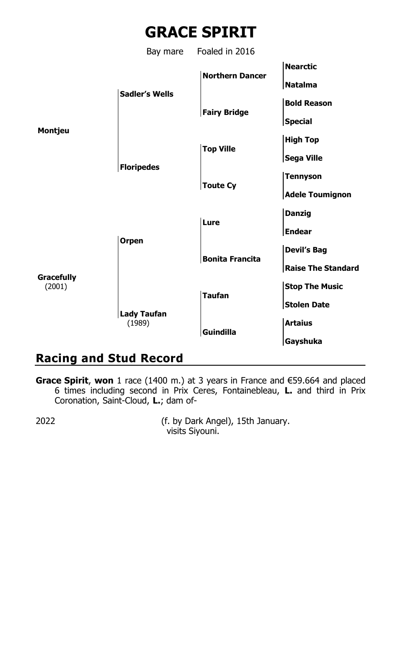

## **Racing and Stud Record**

**Grace Spirit**, **won** 1 race (1400 m.) at 3 years in France and €59.664 and placed 6 times including second in Prix Ceres, Fontainebleau, **L.** and third in Prix Coronation, Saint-Cloud, **L.**; dam of-

2022 (f. by Dark Angel), 15th January. visits Siyouni.